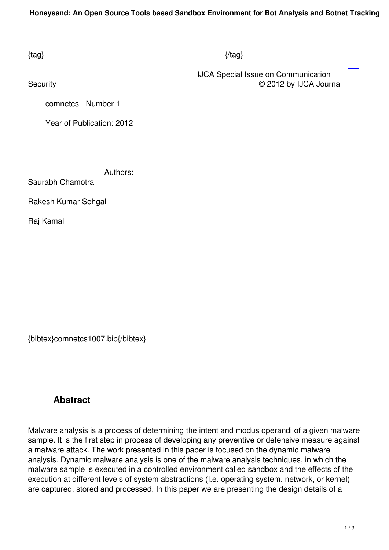## $\{tag\}$

 IJCA Special Issue on Communication Security **Exercise Contract Contract Contract Contract Contract Contract Contract Contract Contract Contract Contract Contract Contract Contract Contract Contract Contract Contract Contract Contract Contract Contract Contr** 

comnetcs - Number 1

Year of Publication: 2012

Authors:

Saurabh Chamotra

Rakesh Kumar Sehgal

Raj Kamal

{bibtex}comnetcs1007.bib{/bibtex}

## **Abstract**

Malware analysis is a process of determining the intent and modus operandi of a given malware sample. It is the first step in process of developing any preventive or defensive measure against a malware attack. The work presented in this paper is focused on the dynamic malware analysis. Dynamic malware analysis is one of the malware analysis techniques, in which the malware sample is executed in a controlled environment called sandbox and the effects of the execution at different levels of system abstractions (I.e. operating system, network, or kernel) are captured, stored and processed. In this paper we are presenting the design details of a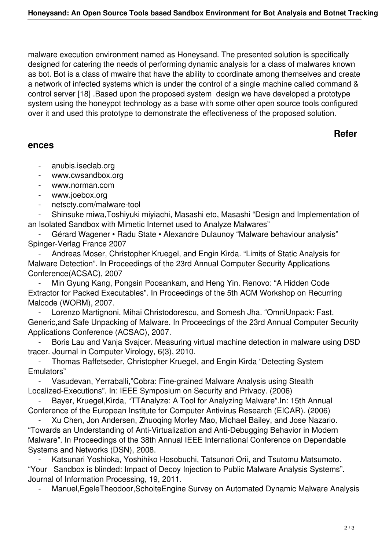malware execution environment named as Honeysand. The presented solution is specifically designed for catering the needs of performing dynamic analysis for a class of malwares known as bot. Bot is a class of mwalre that have the ability to coordinate among themselves and create a network of infected systems which is under the control of a single machine called command & control server [18] .Based upon the proposed system design we have developed a prototype system using the honeypot technology as a base with some other open source tools configured over it and used this prototype to demonstrate the effectiveness of the proposed solution.

## **ences**

## **Refer**

- anubis.iseclab.org
- www.cwsandbox.org
- www.norman.com
- www.joebox.org
- netscty.com/malware-tool

 - Shinsuke miwa,Toshiyuki miyiachi, Masashi eto, Masashi "Design and Implementation of an Isolated Sandbox with Mimetic Internet used to Analyze Malwares"

 - Gérard Wagener • Radu State • Alexandre Dulaunoy "Malware behaviour analysis" Spinger-Verlag France 2007

 - Andreas Moser, Christopher Kruegel, and Engin Kirda. "Limits of Static Analysis for Malware Detection". In Proceedings of the 23rd Annual Computer Security Applications Conference(ACSAC), 2007

 - Min Gyung Kang, Pongsin Poosankam, and Heng Yin. Renovo: "A Hidden Code Extractor for Packed Executables". In Proceedings of the 5th ACM Workshop on Recurring Malcode (WORM), 2007.

 - Lorenzo Martignoni, Mihai Christodorescu, and Somesh Jha. "OmniUnpack: Fast, Generic,and Safe Unpacking of Malware. In Proceedings of the 23rd Annual Computer Security Applications Conference (ACSAC), 2007.

Boris Lau and Vanja Svajcer. Measuring virtual machine detection in malware using DSD tracer. Journal in Computer Virology, 6(3), 2010.

 - Thomas Raffetseder, Christopher Kruegel, and Engin Kirda "Detecting System Emulators"

 - Vasudevan, Yerraballi,"Cobra: Fine-grained Malware Analysis using Stealth Localized-Executions". In: IEEE Symposium on Security and Privacy. (2006)

 - Bayer, Kruegel,Kirda, "TTAnalyze: A Tool for Analyzing Malware".In: 15th Annual Conference of the European Institute for Computer Antivirus Research (EICAR). (2006)

 - Xu Chen, Jon Andersen, Zhuoqing Morley Mao, Michael Bailey, and Jose Nazario. "Towards an Understanding of Anti-Virtualization and Anti-Debugging Behavior in Modern Malware". In Proceedings of the 38th Annual IEEE International Conference on Dependable Systems and Networks (DSN), 2008.

Katsunari Yoshioka, Yoshihiko Hosobuchi, Tatsunori Orii, and Tsutomu Matsumoto. "Your Sandbox is blinded: Impact of Decoy Injection to Public Malware Analysis Systems". Journal of Information Processing, 19, 2011.

Manuel, EgeleTheodoor, Scholte Engine Survey on Automated Dynamic Malware Analysis